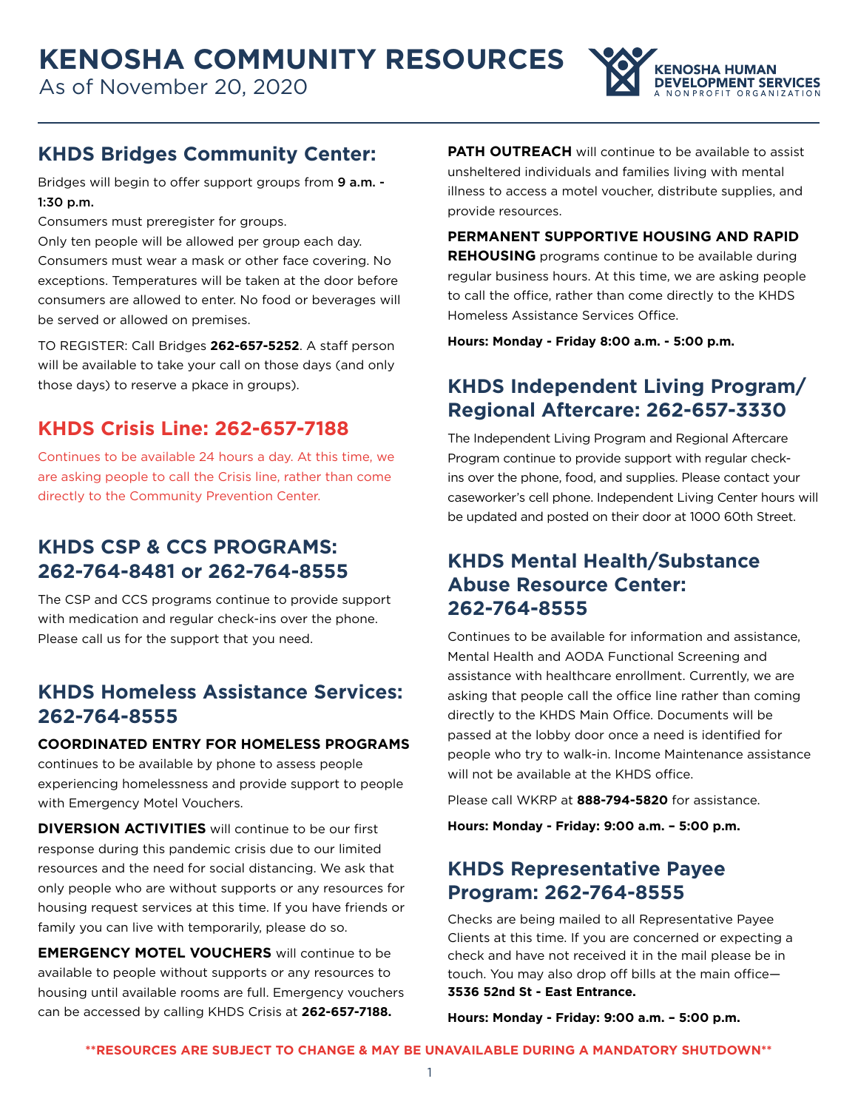

# **KHDS Bridges Community Center:**

Bridges will begin to offer support groups from 9 a.m. -1:30 p.m.

Consumers must preregister for groups.

Only ten people will be allowed per group each day. Consumers must wear a mask or other face covering. No exceptions. Temperatures will be taken at the door before consumers are allowed to enter. No food or beverages will be served or allowed on premises.

TO REGISTER: Call Bridges **262-657-5252**. A staff person will be available to take your call on those days (and only those days) to reserve a pkace in groups).

# **KHDS Crisis Line: 262-657-7188**

Continues to be available 24 hours a day. At this time, we are asking people to call the Crisis line, rather than come directly to the Community Prevention Center.

# **KHDS CSP & CCS PROGRAMS: 262-764-8481 or 262-764-8555**

The CSP and CCS programs continue to provide support with medication and regular check-ins over the phone. Please call us for the support that you need.

# **KHDS Homeless Assistance Services: 262-764-8555**

#### **COORDINATED ENTRY FOR HOMELESS PROGRAMS**

continues to be available by phone to assess people experiencing homelessness and provide support to people with Emergency Motel Vouchers.

**DIVERSION ACTIVITIES** will continue to be our first response during this pandemic crisis due to our limited resources and the need for social distancing. We ask that only people who are without supports or any resources for housing request services at this time. If you have friends or family you can live with temporarily, please do so.

**EMERGENCY MOTEL VOUCHERS** will continue to be available to people without supports or any resources to housing until available rooms are full. Emergency vouchers can be accessed by calling KHDS Crisis at **262-657-7188.**

**PATH OUTREACH** will continue to be available to assist unsheltered individuals and families living with mental illness to access a motel voucher, distribute supplies, and provide resources.

**PERMANENT SUPPORTIVE HOUSING AND RAPID REHOUSING** programs continue to be available during regular business hours. At this time, we are asking people to call the office, rather than come directly to the KHDS Homeless Assistance Services Office.

**Hours: Monday - Friday 8:00 a.m. - 5:00 p.m.**

# **KHDS Independent Living Program/ Regional Aftercare: 262-657-3330**

The Independent Living Program and Regional Aftercare Program continue to provide support with regular checkins over the phone, food, and supplies. Please contact your caseworker's cell phone. Independent Living Center hours will be updated and posted on their door at 1000 60th Street.

# **KHDS Mental Health/Substance Abuse Resource Center: 262-764-8555**

Continues to be available for information and assistance, Mental Health and AODA Functional Screening and assistance with healthcare enrollment. Currently, we are asking that people call the office line rather than coming directly to the KHDS Main Office. Documents will be passed at the lobby door once a need is identified for people who try to walk-in. Income Maintenance assistance will not be available at the KHDS office.

Please call WKRP at **888-794-5820** for assistance.

**Hours: Monday - Friday: 9:00 a.m. – 5:00 p.m.**

## **KHDS Representative Payee Program: 262-764-8555**

Checks are being mailed to all Representative Payee Clients at this time. If you are concerned or expecting a check and have not received it in the mail please be in touch. You may also drop off bills at the main office— **3536 52nd St - East Entrance.**

**Hours: Monday - Friday: 9:00 a.m. – 5:00 p.m.**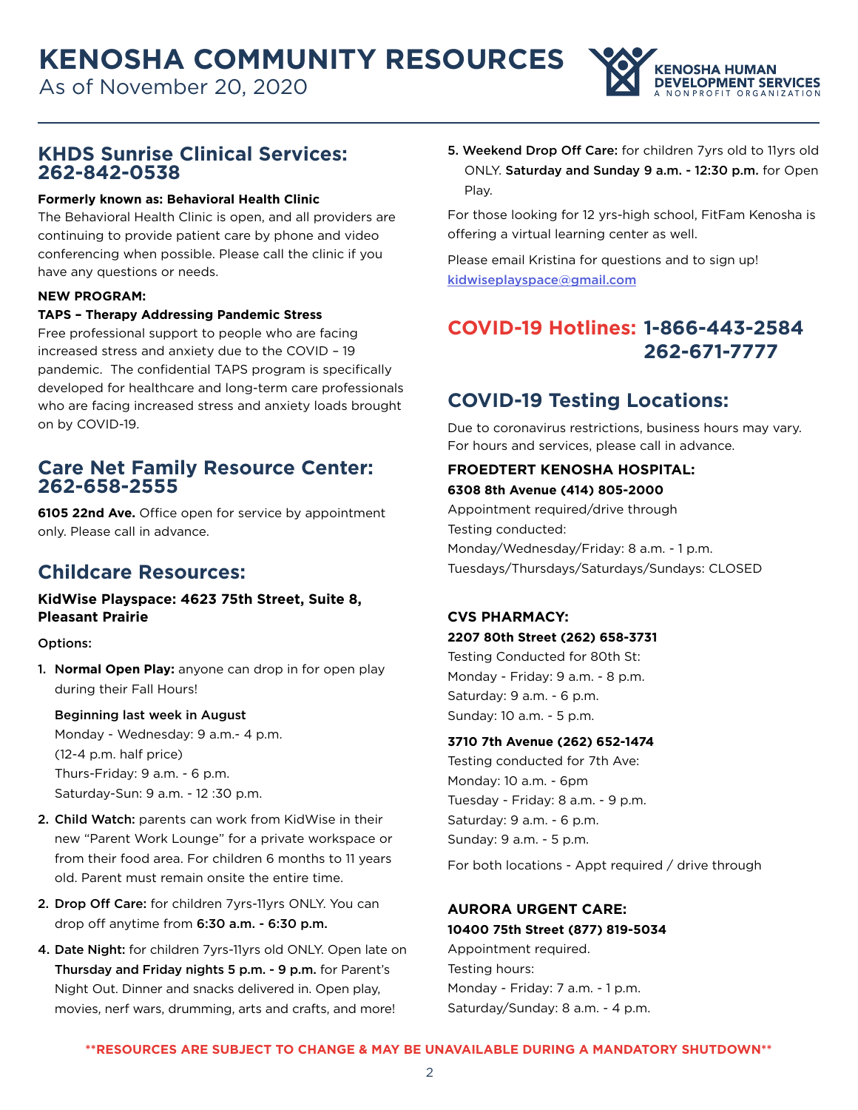As of November 20, 2020



### **KHDS Sunrise Clinical Services: 262-842-0538**

#### **Formerly known as: Behavioral Health Clinic**

The Behavioral Health Clinic is open, and all providers are continuing to provide patient care by phone and video conferencing when possible. Please call the clinic if you have any questions or needs.

#### **NEW PROGRAM:**

#### **TAPS – Therapy Addressing Pandemic Stress**

Free professional support to people who are facing increased stress and anxiety due to the COVID – 19 pandemic. The confidential TAPS program is specifically developed for healthcare and long-term care professionals who are facing increased stress and anxiety loads brought on by COVID-19.

### **Care Net Family Resource Center: 262-658-2555**

**6105 22nd Ave.** Office open for service by appointment only. Please call in advance.

# **Childcare Resources:**

#### **KidWise Playspace: 4623 75th Street, Suite 8, Pleasant Prairie**

Options:

1. N**ormal Open Play:** anyone can drop in for open play during their Fall Hours!

Beginning last week in August Monday - Wednesday: 9 a.m.- 4 p.m. (12-4 p.m. half price) Thurs-Friday: 9 a.m. - 6 p.m. Saturday-Sun: 9 a.m. - 12 :30 p.m.

- 2. Child Watch: parents can work from KidWise in their new "Parent Work Lounge" for a private workspace or from their food area. For children 6 months to 11 years old. Parent must remain onsite the entire time.
- 2. Drop Off Care: for children 7yrs-11yrs ONLY. You can drop off anytime from 6:30 a.m. - 6:30 p.m.
- 4. Date Night: for children 7yrs-11yrs old ONLY. Open late on Thursday and Friday nights 5 p.m. - 9 p.m. for Parent's Night Out. Dinner and snacks delivered in. Open play, movies, nerf wars, drumming, arts and crafts, and more!

5. Weekend Drop Off Care: for children 7yrs old to 11yrs old ONLY. Saturday and Sunday 9 a.m. - 12:30 p.m. for Open Play.

For those looking for 12 yrs-high school, FitFam Kenosha is offering a virtual learning center as well.

Please email Kristina for questions and to sign up! <kidwiseplayspace@gmail.com>

# **COVID-19 Hotlines: 1-866-443-2584 262-671-7777**

# **COVID-19 Testing Locations:**

Due to coronavirus restrictions, business hours may vary. For hours and services, please call in advance.

# **FROEDTERT KENOSHA HOSPITAL:**

#### **6308 8th Avenue (414) 805-2000**

Appointment required/drive through Testing conducted: Monday/Wednesday/Friday: 8 a.m. - 1 p.m. Tuesdays/Thursdays/Saturdays/Sundays: CLOSED

#### **CVS PHARMACY:**

**2207 80th Street (262) 658-3731** Testing Conducted for 80th St:

Monday - Friday: 9 a.m. - 8 p.m. Saturday: 9 a.m. - 6 p.m. Sunday: 10 a.m. - 5 p.m.

#### **3710 7th Avenue (262) 652-1474**

Testing conducted for 7th Ave: Monday: 10 a.m. - 6pm Tuesday - Friday: 8 a.m. - 9 p.m. Saturday: 9 a.m. - 6 p.m. Sunday: 9 a.m. - 5 p.m.

For both locations - Appt required / drive through

## **AURORA URGENT CARE:**

**10400 75th Street (877) 819-5034** Appointment required.

Testing hours: Monday - Friday: 7 a.m. - 1 p.m. Saturday/Sunday: 8 a.m. - 4 p.m.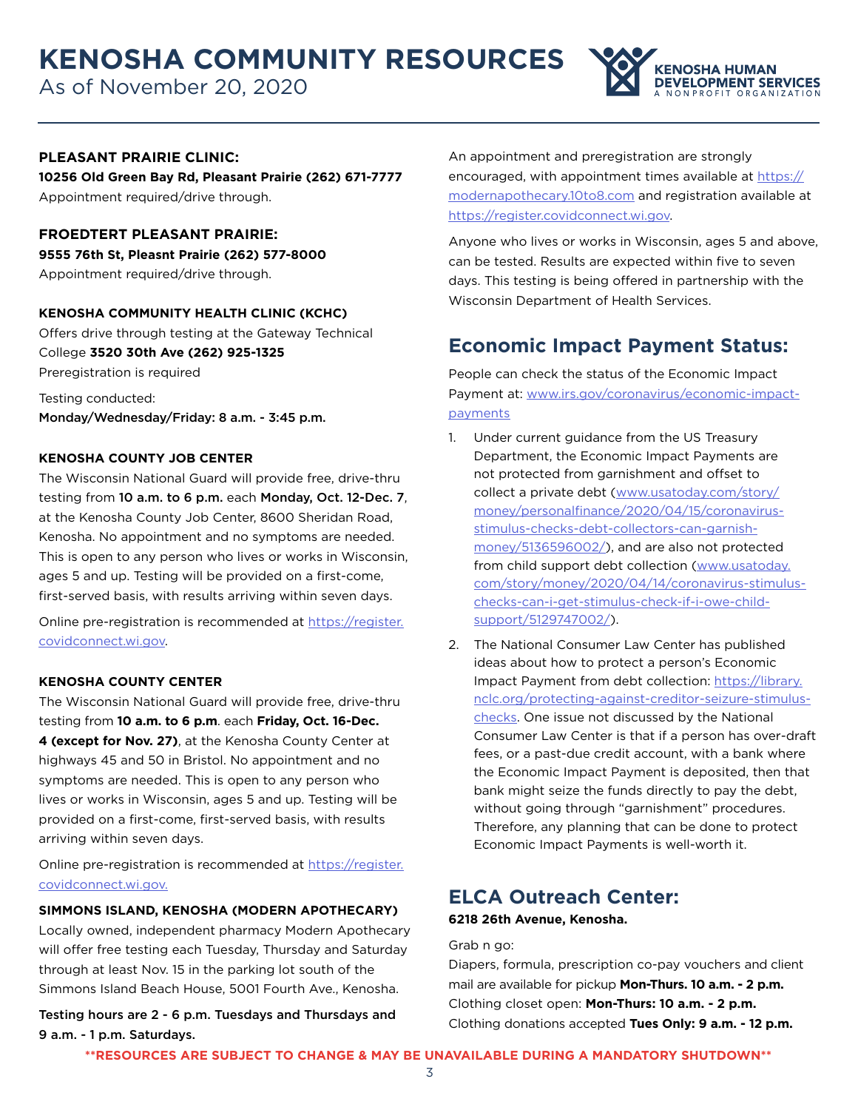As of November 20, 2020



#### **PLEASANT PRAIRIE CLINIC:**

**10256 Old Green Bay Rd, Pleasant Prairie (262) 671-7777** Appointment required/drive through.

**FROEDTERT PLEASANT PRAIRIE: 9555 76th St, Pleasnt Prairie (262) 577-8000** Appointment required/drive through.

#### **KENOSHA COMMUNITY HEALTH CLINIC (KCHC)**

Offers drive through testing at the Gateway Technical College **3520 30th Ave (262) 925-1325** Preregistration is required

Testing conducted: Monday/Wednesday/Friday: 8 a.m. - 3:45 p.m.

#### **KENOSHA COUNTY JOB CENTER**

The Wisconsin National Guard will provide free, drive-thru testing from 10 a.m. to 6 p.m. each Monday, Oct. 12-Dec. 7, at the Kenosha County Job Center, 8600 Sheridan Road, Kenosha. No appointment and no symptoms are needed. This is open to any person who lives or works in Wisconsin, ages 5 and up. Testing will be provided on a first-come, first-served basis, with results arriving within seven days.

Online pre-registration is recommended at [https://register.](https://register.covidconnect.wi.gov) [covidconnect.wi.gov.](https://register.covidconnect.wi.gov)

#### **KENOSHA COUNTY CENTER**

The Wisconsin National Guard will provide free, drive-thru testing from **10 a.m. to 6 p.m**. each **Friday, Oct. 16-Dec. 4 (except for Nov. 27)**, at the Kenosha County Center at highways 45 and 50 in Bristol. No appointment and no symptoms are needed. This is open to any person who lives or works in Wisconsin, ages 5 and up. Testing will be provided on a first-come, first-served basis, with results arriving within seven days.

Online pre-registration is recommended at [https://register.](https://register.covidconnect.wi.gov) [covidconnect.wi.gov.](https://register.covidconnect.wi.gov)

#### **SIMMONS ISLAND, KENOSHA (MODERN APOTHECARY)**

Locally owned, independent pharmacy Modern Apothecary will offer free testing each Tuesday, Thursday and Saturday through at least Nov. 15 in the parking lot south of the Simmons Island Beach House, 5001 Fourth Ave., Kenosha.

Testing hours are 2 - 6 p.m. Tuesdays and Thursdays and 9 a.m. - 1 p.m. Saturdays.

An appointment and preregistration are strongly encouraged, with appointment times available at [https://](https://modernapothecary.10to8.com) [modernapothecary.10to8.com](https://modernapothecary.10to8.com) and registration available at <https://register.covidconnect.wi.gov>.

Anyone who lives or works in Wisconsin, ages 5 and above, can be tested. Results are expected within five to seven days. This testing is being offered in partnership with the Wisconsin Department of Health Services.

## **Economic Impact Payment Status:**

People can check the status of the Economic Impact Payment at: [www.irs.gov/coronavirus/economic-impact](https://www.irs.gov/coronavirus/economic-impact-payments)[payments](https://www.irs.gov/coronavirus/economic-impact-payments)

- 1. Under current guidance from the US Treasury Department, the Economic Impact Payments are not protected from garnishment and offset to collect a private debt ([www.usatoday.com/story/](http://www.usatoday.com/story/money/personalfinance/2020/04/15/coronavirus-stimulus-checks-debt-collectors-can-garnish-money/5136596002/) [money/personalfinance/2020/04/15/coronavirus](http://www.usatoday.com/story/money/personalfinance/2020/04/15/coronavirus-stimulus-checks-debt-collectors-can-garnish-money/5136596002/)[stimulus-checks-debt-collectors-can-garnish](http://www.usatoday.com/story/money/personalfinance/2020/04/15/coronavirus-stimulus-checks-debt-collectors-can-garnish-money/5136596002/)[money/5136596002/](http://www.usatoday.com/story/money/personalfinance/2020/04/15/coronavirus-stimulus-checks-debt-collectors-can-garnish-money/5136596002/)), and are also not protected from child support debt collection [\(www.usatoday.](https://www.usatoday.com/story/money/2020/04/14/coronavirus-stimulus-checks-can-i-get-stimulus-check-if-i-owe-child-support/5129747002/) [com/story/money/2020/04/14/coronavirus-stimulus](https://www.usatoday.com/story/money/2020/04/14/coronavirus-stimulus-checks-can-i-get-stimulus-check-if-i-owe-child-support/5129747002/)[checks-can-i-get-stimulus-check-if-i-owe-child](https://www.usatoday.com/story/money/2020/04/14/coronavirus-stimulus-checks-can-i-get-stimulus-check-if-i-owe-child-support/5129747002/)[support/5129747002/\)](https://www.usatoday.com/story/money/2020/04/14/coronavirus-stimulus-checks-can-i-get-stimulus-check-if-i-owe-child-support/5129747002/).
- 2. The National Consumer Law Center has published ideas about how to protect a person's Economic Impact Payment from debt collection: [https://library.](https://library.nclc.org/protecting-against-creditor-seizure-stimulus-checks) [nclc.org/protecting-against-creditor-seizure-stimulus](https://library.nclc.org/protecting-against-creditor-seizure-stimulus-checks)[checks.](https://library.nclc.org/protecting-against-creditor-seizure-stimulus-checks) One issue not discussed by the National Consumer Law Center is that if a person has over-draft fees, or a past-due credit account, with a bank where the Economic Impact Payment is deposited, then that bank might seize the funds directly to pay the debt, without going through "garnishment" procedures. Therefore, any planning that can be done to protect Economic Impact Payments is well-worth it.

## **ELCA Outreach Center:**

#### **6218 26th Avenue, Kenosha.**

Grab n go:

Diapers, formula, prescription co-pay vouchers and client mail are available for pickup **Mon-Thurs. 10 a.m. - 2 p.m.** Clothing closet open: **Mon-Thurs: 10 a.m. - 2 p.m.** Clothing donations accepted **Tues Only: 9 a.m. - 12 p.m.**

**\*\*RESOURCES ARE SUBJECT TO CHANGE & MAY BE UNAVAILABLE DURING A MANDATORY SHUTDOWN\*\***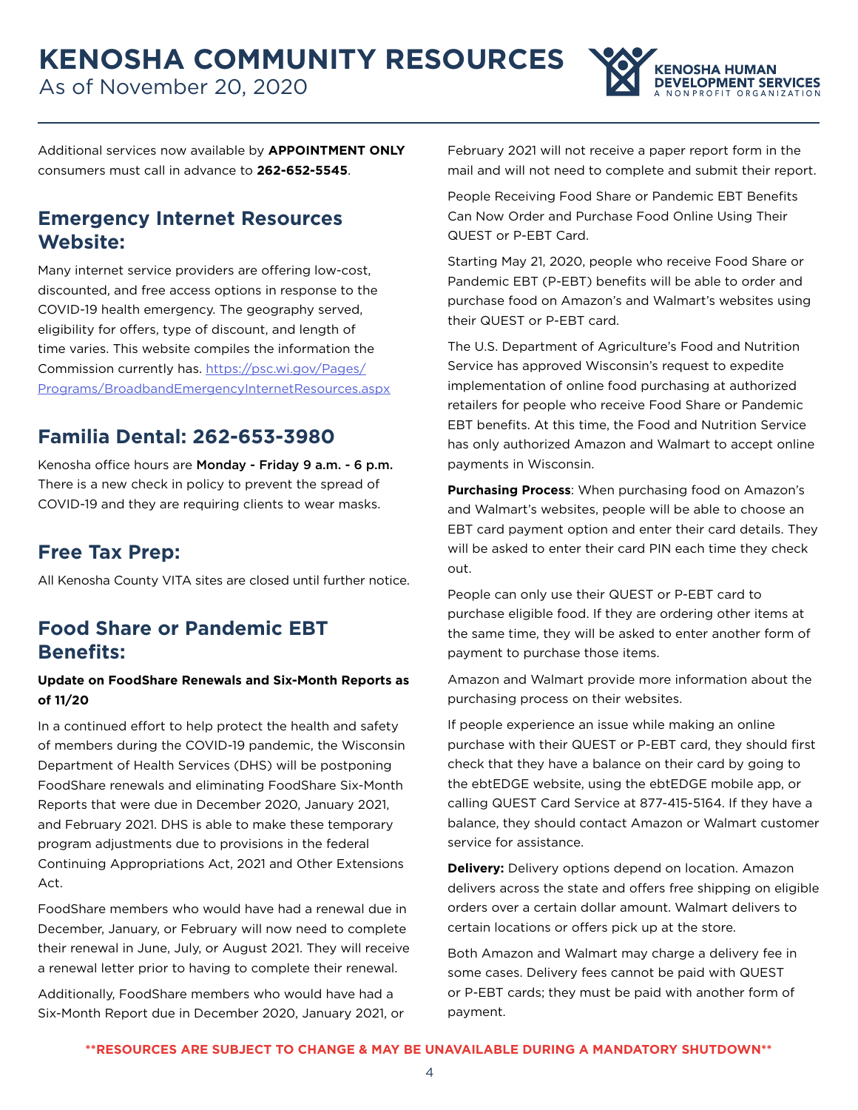

Additional services now available by **APPOINTMENT ONLY**  consumers must call in advance to **262-652-5545**.

## **Emergency Internet Resources Website:**

Many internet service providers are offering low-cost, discounted, and free access options in response to the COVID-19 health emergency. The geography served, eligibility for offers, type of discount, and length of time varies. This website compiles the information the Commission currently has. [https://psc.wi.gov/Pages/](https://psc.wi.gov/Pages/Programs/BroadbandEmergencyInternetResources.aspx) [Programs/BroadbandEmergencyInternetResources.aspx](https://psc.wi.gov/Pages/Programs/BroadbandEmergencyInternetResources.aspx)

# **Familia Dental: 262-653-3980**

Kenosha office hours are Monday - Friday 9 a.m. - 6 p.m. There is a new check in policy to prevent the spread of COVID-19 and they are requiring clients to wear masks.

# **Free Tax Prep:**

All Kenosha County VITA sites are closed until further notice.

## **Food Share or Pandemic EBT Benefits:**

#### **Update on FoodShare Renewals and Six-Month Reports as of 11/20**

In a continued effort to help protect the health and safety of members during the COVID-19 pandemic, the Wisconsin Department of Health Services (DHS) will be postponing FoodShare renewals and eliminating FoodShare Six-Month Reports that were due in December 2020, January 2021, and February 2021. DHS is able to make these temporary program adjustments due to provisions in the federal Continuing Appropriations Act, 2021 and Other Extensions Act.

FoodShare members who would have had a renewal due in December, January, or February will now need to complete their renewal in June, July, or August 2021. They will receive a renewal letter prior to having to complete their renewal.

Additionally, FoodShare members who would have had a Six-Month Report due in December 2020, January 2021, or February 2021 will not receive a paper report form in the mail and will not need to complete and submit their report.

People Receiving Food Share or Pandemic EBT Benefits Can Now Order and Purchase Food Online Using Their QUEST or P-EBT Card.

Starting May 21, 2020, people who receive Food Share or Pandemic EBT (P-EBT) benefits will be able to order and purchase food on Amazon's and Walmart's websites using their QUEST or P-EBT card.

The U.S. Department of Agriculture's Food and Nutrition Service has approved Wisconsin's request to expedite implementation of online food purchasing at authorized retailers for people who receive Food Share or Pandemic EBT benefits. At this time, the Food and Nutrition Service has only authorized Amazon and Walmart to accept online payments in Wisconsin.

**Purchasing Process**: When purchasing food on Amazon's and Walmart's websites, people will be able to choose an EBT card payment option and enter their card details. They will be asked to enter their card PIN each time they check out.

People can only use their QUEST or P-EBT card to purchase eligible food. If they are ordering other items at the same time, they will be asked to enter another form of payment to purchase those items.

Amazon and Walmart provide more information about the purchasing process on their websites.

If people experience an issue while making an online purchase with their QUEST or P-EBT card, they should first check that they have a balance on their card by going to the ebtEDGE website, using the ebtEDGE mobile app, or calling QUEST Card Service at 877-415-5164. If they have a balance, they should contact Amazon or Walmart customer service for assistance.

**Delivery:** Delivery options depend on location. Amazon delivers across the state and offers free shipping on eligible orders over a certain dollar amount. Walmart delivers to certain locations or offers pick up at the store.

Both Amazon and Walmart may charge a delivery fee in some cases. Delivery fees cannot be paid with QUEST or P-EBT cards; they must be paid with another form of payment.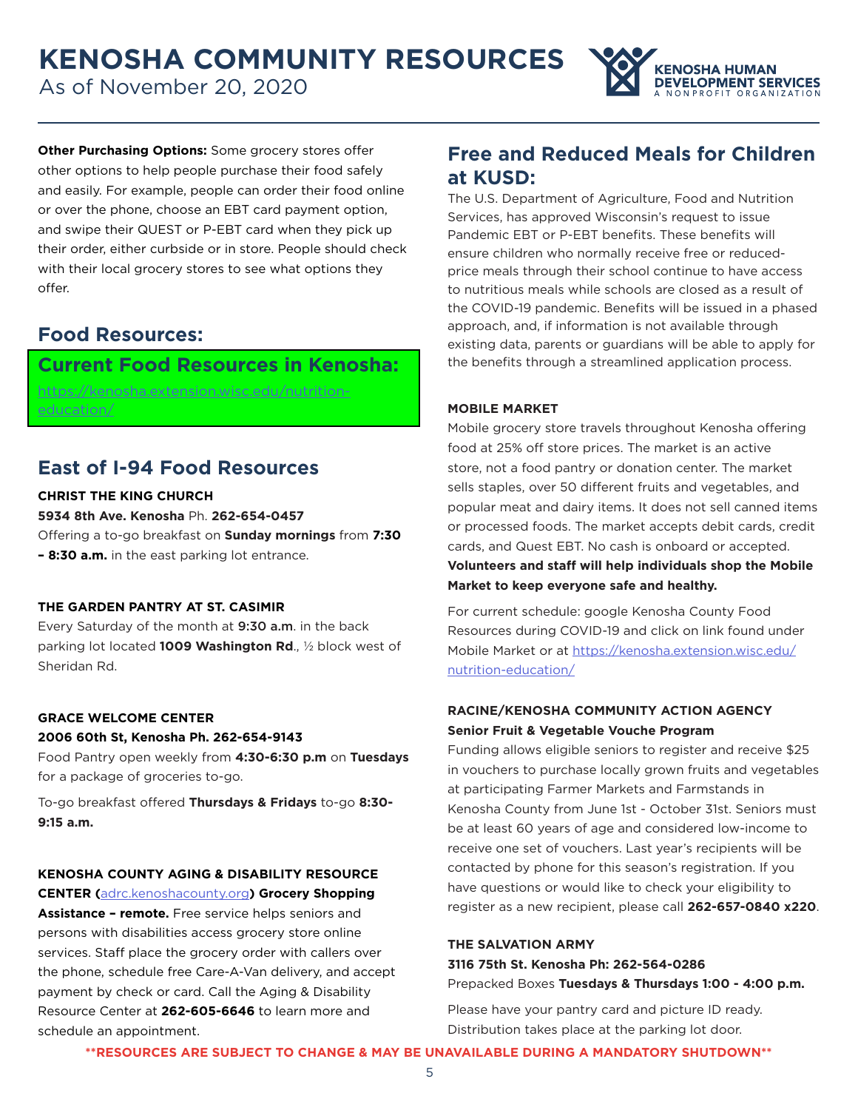As of November 20, 2020



**Other Purchasing Options:** Some grocery stores offer other options to help people purchase their food safely and easily. For example, people can order their food online or over the phone, choose an EBT card payment option, and swipe their QUEST or P-EBT card when they pick up their order, either curbside or in store. People should check with their local grocery stores to see what options they offer.

## **Food Resources:**

### **Current Food Resources in Kenosha:**

[https://kenosha.extension.wisc.edu/nutrition](https://kenosha.extension.wisc.edu/nutrition-education/)[education/](https://kenosha.extension.wisc.edu/nutrition-education/)

## **East of I-94 Food Resources**

#### **CHRIST THE KING CHURCH**

#### **5934 8th Ave. Kenosha** Ph. **262-654-0457**

Offering a to-go breakfast on **Sunday mornings** from **7:30 – 8:30 a.m.** in the east parking lot entrance.

#### **THE GARDEN PANTRY AT ST. CASIMIR**

Every Saturday of the month at 9:30 a.m. in the back parking lot located **1009 Washington Rd**., ½ block west of Sheridan Rd.

#### **GRACE WELCOME CENTER**

#### **2006 60th St, Kenosha Ph. 262-654-9143**

Food Pantry open weekly from **4:30-6:30 p.m** on **Tuesdays**  for a package of groceries to-go.

To-go breakfast offered **Thursdays & Fridays** to-go **8:30- 9:15 a.m.** 

#### **KENOSHA COUNTY AGING & DISABILITY RESOURCE CENTER (**[adrc.kenoshacounty.org](http://adrc.kenoshacounty.org)**) Grocery Shopping**

**Assistance – remote.** Free service helps seniors and persons with disabilities access grocery store online services. Staff place the grocery order with callers over the phone, schedule free Care-A-Van delivery, and accept payment by check or card. Call the Aging & Disability Resource Center at **262-605-6646** to learn more and schedule an appointment.

## **Free and Reduced Meals for Children at KUSD:**

The U.S. Department of Agriculture, Food and Nutrition Services, has approved Wisconsin's request to issue Pandemic EBT or P-EBT benefits. These benefits will ensure children who normally receive free or reducedprice meals through their school continue to have access to nutritious meals while schools are closed as a result of the COVID-19 pandemic. Benefits will be issued in a phased approach, and, if information is not available through existing data, parents or guardians will be able to apply for the benefits through a streamlined application process.

#### **MOBILE MARKET**

Mobile grocery store travels throughout Kenosha offering food at 25% off store prices. The market is an active store, not a food pantry or donation center. The market sells staples, over 50 different fruits and vegetables, and popular meat and dairy items. It does not sell canned items or processed foods. The market accepts debit cards, credit cards, and Quest EBT. No cash is onboard or accepted. **Volunteers and staff will help individuals shop the Mobile Market to keep everyone safe and healthy.**

For current schedule: google Kenosha County Food Resources during COVID-19 and click on link found under Mobile Market or at [https://kenosha.extension.wisc.edu/](https://kenosha.extension.wisc.edu/nutrition-education/) [nutrition-education/](https://kenosha.extension.wisc.edu/nutrition-education/)

#### **RACINE/KENOSHA COMMUNITY ACTION AGENCY Senior Fruit & Vegetable Vouche Program**

Funding allows eligible seniors to register and receive \$25 in vouchers to purchase locally grown fruits and vegetables at participating Farmer Markets and Farmstands in Kenosha County from June 1st - October 31st. Seniors must be at least 60 years of age and considered low-income to receive one set of vouchers. Last year's recipients will be contacted by phone for this season's registration. If you have questions or would like to check your eligibility to register as a new recipient, please call **262-657-0840 x220**.

#### **THE SALVATION ARMY**

**3116 75th St. Kenosha Ph: 262-564-0286** Prepacked Boxes **Tuesdays & Thursdays 1:00 - 4:00 p.m.**

Please have your pantry card and picture ID ready. Distribution takes place at the parking lot door.

**\*\*RESOURCES ARE SUBJECT TO CHANGE & MAY BE UNAVAILABLE DURING A MANDATORY SHUTDOWN\*\***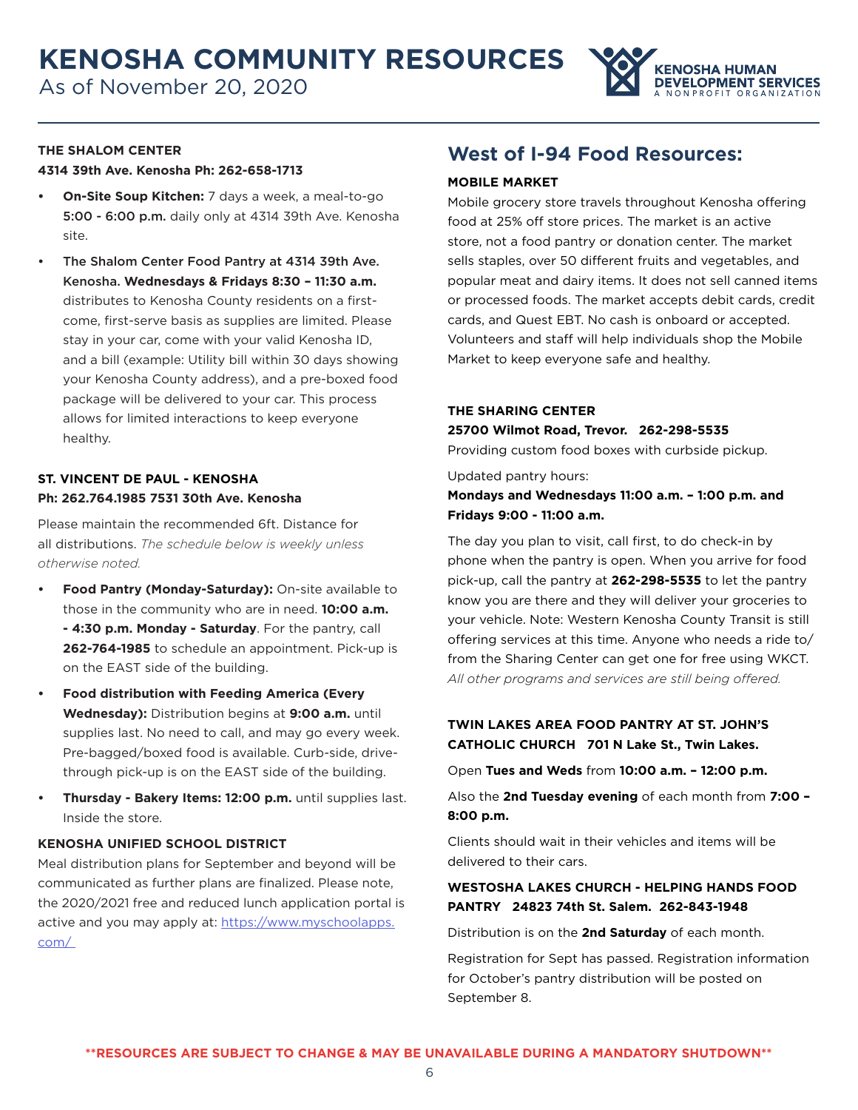

#### **THE SHALOM CENTER**

#### **4314 39th Ave. Kenosha Ph: 262-658-1713**

- **• On-Site Soup Kitchen:** 7 days a week, a meal-to-go 5:00 - 6:00 p.m. daily only at 4314 39th Ave. Kenosha site.
- The Shalom Center Food Pantry at 4314 39th Ave. Kenosha. **Wednesdays & Fridays 8:30 – 11:30 a.m.**  distributes to Kenosha County residents on a firstcome, first-serve basis as supplies are limited. Please stay in your car, come with your valid Kenosha ID, and a bill (example: Utility bill within 30 days showing your Kenosha County address), and a pre-boxed food package will be delivered to your car. This process allows for limited interactions to keep everyone healthy.

#### **ST. VINCENT DE PAUL - KENOSHA Ph: 262.764.1985 7531 30th Ave. Kenosha**

Please maintain the recommended 6ft. Distance for all distributions. *The schedule below is weekly unless otherwise noted.* 

- **• Food Pantry (Monday-Saturday):** On-site available to those in the community who are in need. **10:00 a.m. - 4:30 p.m. Monday - Saturday**. For the pantry, call **262-764-1985** to schedule an appointment. Pick-up is on the EAST side of the building.
- **• Food distribution with Feeding America (Every Wednesday):** Distribution begins at **9:00 a.m.** until supplies last. No need to call, and may go every week. Pre-bagged/boxed food is available. Curb-side, drivethrough pick-up is on the EAST side of the building.
- **• Thursday Bakery Items: 12:00 p.m.** until supplies last. Inside the store.

#### **KENOSHA UNIFIED SCHOOL DISTRICT**

Meal distribution plans for September and beyond will be communicated as further plans are finalized. Please note, the 2020/2021 free and reduced lunch application portal is active and you may apply at: [https://www.myschoolapps.](https://www.myschoolapps.com/) [com/](https://www.myschoolapps.com/)

### **West of I-94 Food Resources:**

#### **MOBILE MARKET**

Mobile grocery store travels throughout Kenosha offering food at 25% off store prices. The market is an active store, not a food pantry or donation center. The market sells staples, over 50 different fruits and vegetables, and popular meat and dairy items. It does not sell canned items or processed foods. The market accepts debit cards, credit cards, and Quest EBT. No cash is onboard or accepted. Volunteers and staff will help individuals shop the Mobile Market to keep everyone safe and healthy.

#### **THE SHARING CENTER**

#### **25700 Wilmot Road, Trevor. 262-298-5535**

Providing custom food boxes with curbside pickup.

Updated pantry hours:

**Mondays and Wednesdays 11:00 a.m. – 1:00 p.m. and Fridays 9:00 - 11:00 a.m.**

The day you plan to visit, call first, to do check-in by phone when the pantry is open. When you arrive for food pick-up, call the pantry at **262-298-5535** to let the pantry know you are there and they will deliver your groceries to your vehicle. Note: Western Kenosha County Transit is still offering services at this time. Anyone who needs a ride to/ from the Sharing Center can get one for free using WKCT. *All other programs and services are still being offered.* 

#### **TWIN LAKES AREA FOOD PANTRY AT ST. JOHN'S CATHOLIC CHURCH 701 N Lake St., Twin Lakes.**

Open **Tues and Weds** from **10:00 a.m. – 12:00 p.m.**

Also the **2nd Tuesday evening** of each month from **7:00 – 8:00 p.m.** 

Clients should wait in their vehicles and items will be delivered to their cars.

#### **WESTOSHA LAKES CHURCH - HELPING HANDS FOOD PANTRY 24823 74th St. Salem. 262-843-1948**

Distribution is on the **2nd Saturday** of each month.

Registration for Sept has passed. Registration information for October's pantry distribution will be posted on September 8.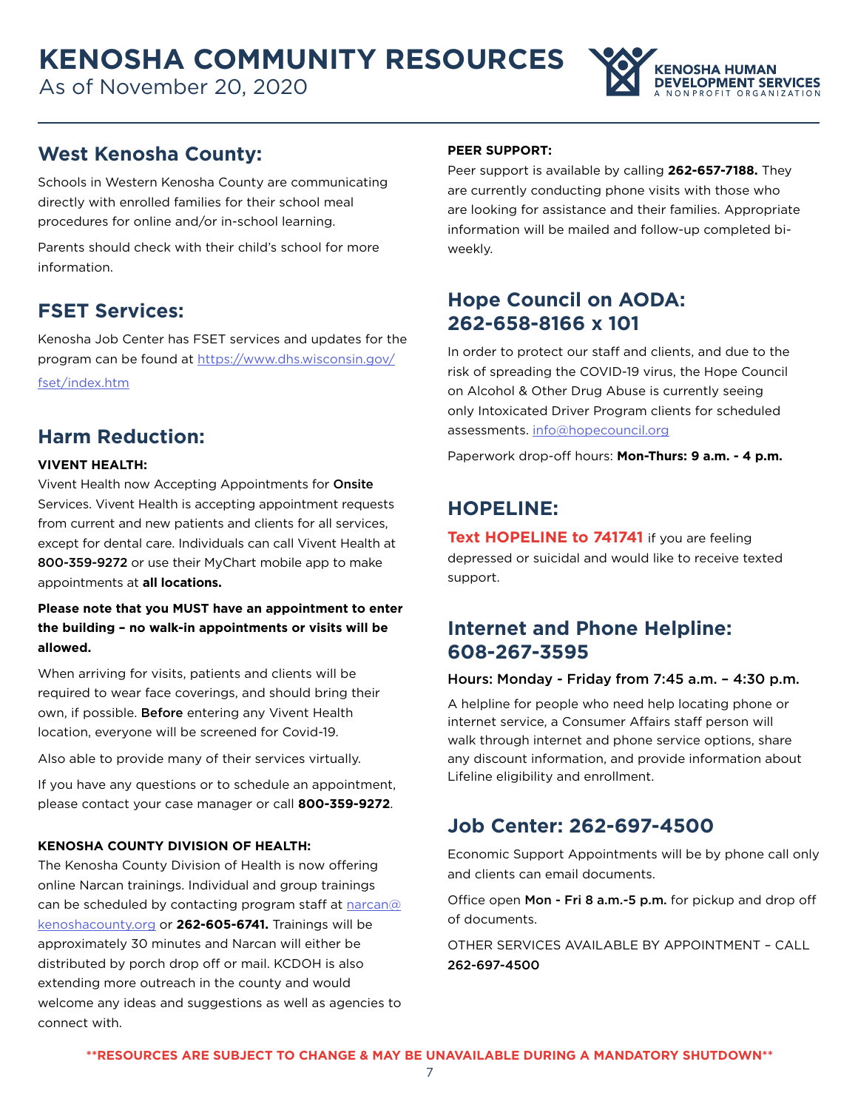As of November 20, 2020



## **West Kenosha County:**

Schools in Western Kenosha County are communicating directly with enrolled families for their school meal procedures for online and/or in-school learning.

Parents should check with their child's school for more information.

## **FSET Services:**

Kenosha Job Center has FSET services and updates for the program can be found at [https://www.dhs.wisconsin.gov/](https://www.dhs.wisconsin.gov/fset/index.htm) [fset/index.htm](https://www.dhs.wisconsin.gov/fset/index.htm)

## **Harm Reduction:**

#### **VIVENT HEALTH:**

Vivent Health now Accepting Appointments for Onsite Services. Vivent Health is accepting appointment requests from current and new patients and clients for all services, except for dental care. Individuals can call Vivent Health at 800-359-9272 or use their MyChart mobile app to make appointments at **all locations.**

**Please note that you MUST have an appointment to enter the building – no walk-in appointments or visits will be allowed.**

When arriving for visits, patients and clients will be required to wear face coverings, and should bring their own, if possible. Before entering any Vivent Health location, everyone will be screened for Covid-19.

Also able to provide many of their services virtually.

If you have any questions or to schedule an appointment, please contact your case manager or call **800-359-9272**.

#### **KENOSHA COUNTY DIVISION OF HEALTH:**

The Kenosha County Division of Health is now offering online Narcan trainings. Individual and group trainings can be scheduled by contacting program staff at [narcan@](mailto:narcan%40kenoshacounty.org?subject=) [kenoshacounty.org](mailto:narcan%40kenoshacounty.org?subject=) or **262-605-6741.** Trainings will be approximately 30 minutes and Narcan will either be distributed by porch drop off or mail. KCDOH is also extending more outreach in the county and would welcome any ideas and suggestions as well as agencies to connect with.

#### **PEER SUPPORT:**

Peer support is available by calling **262-657-7188.** They are currently conducting phone visits with those who are looking for assistance and their families. Appropriate information will be mailed and follow-up completed biweekly.

# **Hope Council on AODA: 262-658-8166 x 101**

In order to protect our staff and clients, and due to the risk of spreading the COVID-19 virus, the Hope Council on Alcohol & Other Drug Abuse is currently seeing only Intoxicated Driver Program clients for scheduled assessments. [info@hopecouncil.org](mailto:info%40hopecouncil.org?subject=)

Paperwork drop-off hours: **Mon-Thurs: 9 a.m. - 4 p.m.**

## **HOPELINE:**

**Text HOPELINE to 741741** if you are feeling depressed or suicidal and would like to receive texted support.

## **Internet and Phone Helpline: 608-267-3595**

#### Hours: Monday - Friday from 7:45 a.m. – 4:30 p.m.

A helpline for people who need help locating phone or internet service, a Consumer Affairs staff person will walk through internet and phone service options, share any discount information, and provide information about Lifeline eligibility and enrollment.

## **Job Center: 262-697-4500**

Economic Support Appointments will be by phone call only and clients can email documents.

Office open Mon - Fri 8 a.m.-5 p.m. for pickup and drop off of documents.

OTHER SERVICES AVAILABLE BY APPOINTMENT – CALL 262-697-4500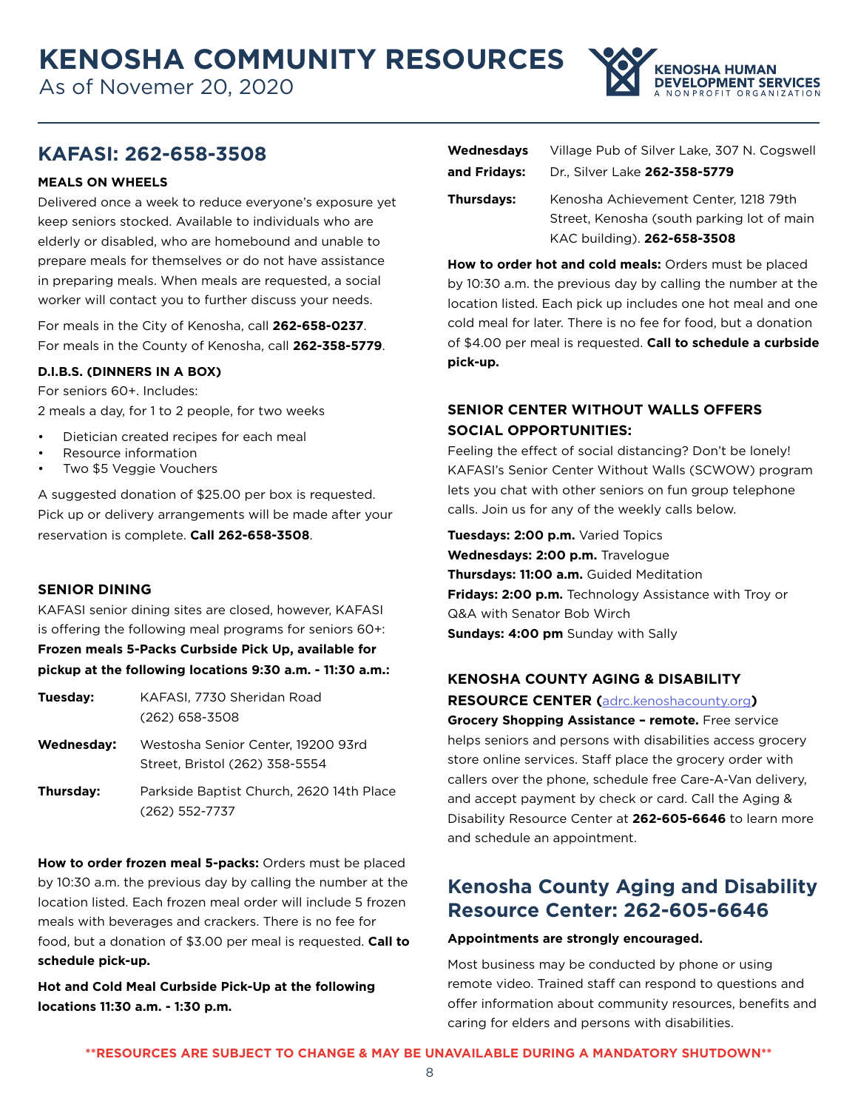As of Novemer 20, 2020



## **KAFASI: 262-658-3508**

#### **MEALS ON WHEELS**

Delivered once a week to reduce everyone's exposure yet keep seniors stocked. Available to individuals who are elderly or disabled, who are homebound and unable to prepare meals for themselves or do not have assistance in preparing meals. When meals are requested, a social worker will contact you to further discuss your needs.

For meals in the City of Kenosha, call **262-658-0237**. For meals in the County of Kenosha, call **262-358-5779**.

#### **D.I.B.S. (DINNERS IN A BOX)**

For seniors 60+. Includes: 2 meals a day, for 1 to 2 people, for two weeks

- Dietician created recipes for each meal
- Resource information
- Two \$5 Veggie Vouchers

A suggested donation of \$25.00 per box is requested. Pick up or delivery arrangements will be made after your reservation is complete. **Call 262-658-3508**.

#### **SENIOR DINING**

KAFASI senior dining sites are closed, however, KAFASI is offering the following meal programs for seniors 60+: **Frozen meals 5-Packs Curbside Pick Up, available for pickup at the following locations 9:30 a.m. - 11:30 a.m.:**

| Tuesday: | KAFASI, 7730 Sheridan Road |
|----------|----------------------------|
|          | (262) 658-3508             |

- **Wednesday:** Westosha Senior Center, 19200 93rd Street, Bristol (262) 358-5554
- **Thursday:** Parkside Baptist Church, 2620 14th Place (262) 552-7737

**How to order frozen meal 5-packs:** Orders must be placed by 10:30 a.m. the previous day by calling the number at the location listed. Each frozen meal order will include 5 frozen meals with beverages and crackers. There is no fee for food, but a donation of \$3.00 per meal is requested. **Call to schedule pick-up.**

**Hot and Cold Meal Curbside Pick-Up at the following locations 11:30 a.m. - 1:30 p.m.**

| <b>Wednesdays</b> | Village Pub of Silver Lake, 307 N. Cogswell                                                                        |
|-------------------|--------------------------------------------------------------------------------------------------------------------|
| and Fridays:      | Dr., Silver Lake 262-358-5779                                                                                      |
| <b>Thursdays:</b> | Kenosha Achievement Center, 1218 79th<br>Street, Kenosha (south parking lot of main<br>KAC building). 262-658-3508 |

**How to order hot and cold meals:** Orders must be placed by 10:30 a.m. the previous day by calling the number at the location listed. Each pick up includes one hot meal and one cold meal for later. There is no fee for food, but a donation of \$4.00 per meal is requested. **Call to schedule a curbside pick-up.**

#### **SENIOR CENTER WITHOUT WALLS OFFERS SOCIAL OPPORTUNITIES:**

Feeling the effect of social distancing? Don't be lonely! KAFASI's Senior Center Without Walls (SCWOW) program lets you chat with other seniors on fun group telephone calls. Join us for any of the weekly calls below.

**Tuesdays: 2:00 p.m.** Varied Topics **Wednesdays: 2:00 p.m.** Travelogue **Thursdays: 11:00 a.m.** Guided Meditation **Fridays: 2:00 p.m.** Technology Assistance with Troy or Q&A with Senator Bob Wirch **Sundays: 4:00 pm** Sunday with Sally

# **KENOSHA COUNTY AGING & DISABILITY**

**RESOURCE CENTER (**<adrc.kenoshacounty.org>**)**

**Grocery Shopping Assistance – remote.** Free service helps seniors and persons with disabilities access grocery store online services. Staff place the grocery order with callers over the phone, schedule free Care-A-Van delivery, and accept payment by check or card. Call the Aging & Disability Resource Center at **262-605-6646** to learn more and schedule an appointment.

# **Kenosha County Aging and Disability Resource Center: 262-605-6646**

#### **Appointments are strongly encouraged.**

Most business may be conducted by phone or using remote video. Trained staff can respond to questions and offer information about community resources, benefits and caring for elders and persons with disabilities.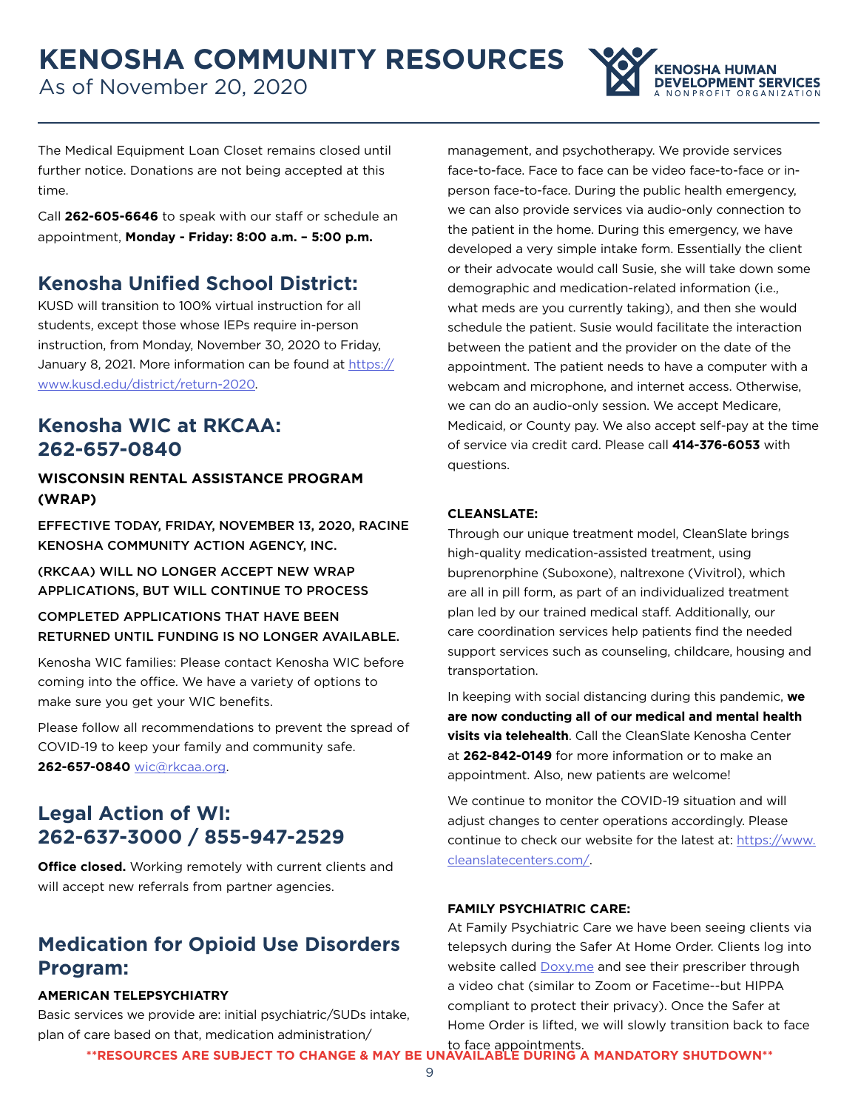As of November 20, 2020



The Medical Equipment Loan Closet remains closed until further notice. Donations are not being accepted at this time.

Call **262-605-6646** to speak with our staff or schedule an appointment, **Monday - Friday: 8:00 a.m. – 5:00 p.m.**

# **Kenosha Unified School District:**

KUSD will transition to 100% virtual instruction for all students, except those whose IEPs require in-person instruction, from Monday, November 30, 2020 to Friday, January 8, 2021. More information can be found at [https://](https://www.kusd.edu/district/return-2020) [www.kusd.edu/district/return-2020.](https://www.kusd.edu/district/return-2020)

## **Kenosha WIC at RKCAA: 262-657-0840**

#### **WISCONSIN RENTAL ASSISTANCE PROGRAM (WRAP)**

EFFECTIVE TODAY, FRIDAY, NOVEMBER 13, 2020, RACINE KENOSHA COMMUNITY ACTION AGENCY, INC.

(RKCAA) WILL NO LONGER ACCEPT NEW WRAP APPLICATIONS, BUT WILL CONTINUE TO PROCESS

COMPLETED APPLICATIONS THAT HAVE BEEN RETURNED UNTIL FUNDING IS NO LONGER AVAILABLE.

Kenosha WIC families: Please contact Kenosha WIC before coming into the office. We have a variety of options to make sure you get your WIC benefits.

Please follow all recommendations to prevent the spread of COVID-19 to keep your family and community safe. **262-657-0840** [wic@rkcaa.org](mailto:wic%40rkcaa.org?subject=).

# **Legal Action of WI: 262-637-3000 / 855-947-2529**

**Office closed.** Working remotely with current clients and will accept new referrals from partner agencies.

## **Medication for Opioid Use Disorders Program:**

#### **AMERICAN TELEPSYCHIATRY**

Basic services we provide are: initial psychiatric/SUDs intake, plan of care based on that, medication administration/

management, and psychotherapy. We provide services face-to-face. Face to face can be video face-to-face or inperson face-to-face. During the public health emergency, we can also provide services via audio-only connection to the patient in the home. During this emergency, we have developed a very simple intake form. Essentially the client or their advocate would call Susie, she will take down some demographic and medication-related information (i.e., what meds are you currently taking), and then she would schedule the patient. Susie would facilitate the interaction between the patient and the provider on the date of the appointment. The patient needs to have a computer with a webcam and microphone, and internet access. Otherwise, we can do an audio-only session. We accept Medicare, Medicaid, or County pay. We also accept self-pay at the time of service via credit card. Please call **414-376-6053** with questions.

#### **CLEANSLATE:**

Through our unique treatment model, CleanSlate brings high-quality medication-assisted treatment, using buprenorphine (Suboxone), naltrexone (Vivitrol), which are all in pill form, as part of an individualized treatment plan led by our trained medical staff. Additionally, our care coordination services help patients find the needed support services such as counseling, childcare, housing and transportation.

In keeping with social distancing during this pandemic, **we are now conducting all of our medical and mental health visits via telehealth**. Call the CleanSlate Kenosha Center at **262-842-0149** for more information or to make an appointment. Also, new patients are welcome!

We continue to monitor the COVID-19 situation and will adjust changes to center operations accordingly. Please continue to check our website for the latest at: [https://www.](https://www.cleanslatecenters.com/) [cleanslatecenters.com/.](https://www.cleanslatecenters.com/)

#### **FAMILY PSYCHIATRIC CARE:**

At Family Psychiatric Care we have been seeing clients via telepsych during the Safer At Home Order. Clients log into website called **[Doxy.me](http://Doxy.me)** and see their prescriber through a video chat (similar to Zoom or Facetime--but HIPPA compliant to protect their privacy). Once the Safer at Home Order is lifted, we will slowly transition back to face

to face appointments. **\*\*RESOURCES ARE SUBJECT TO CHANGE & MAY BE UNAVAILABLE DURING A MANDATORY SHUTDOWN\*\***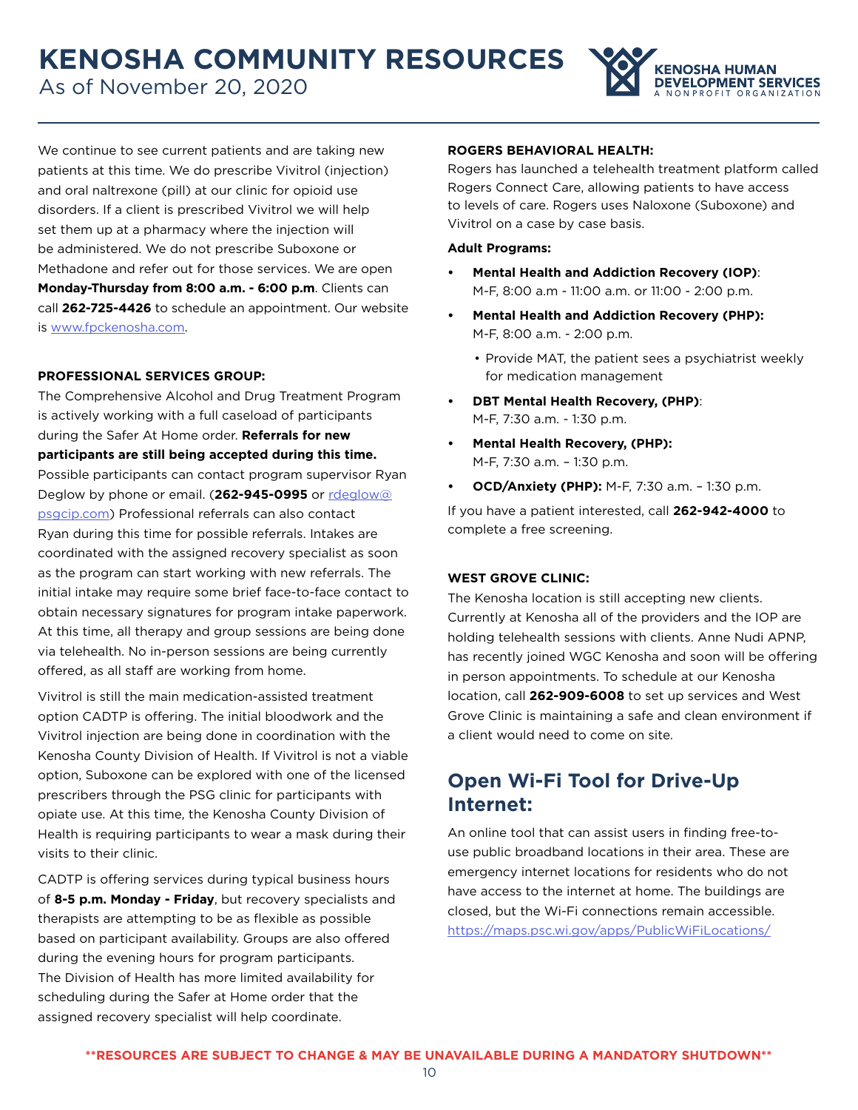As of November 20, 2020



We continue to see current patients and are taking new patients at this time. We do prescribe Vivitrol (injection) and oral naltrexone (pill) at our clinic for opioid use disorders. If a client is prescribed Vivitrol we will help set them up at a pharmacy where the injection will be administered. We do not prescribe Suboxone or Methadone and refer out for those services. We are open **Monday-Thursday from 8:00 a.m. - 6:00 p.m**. Clients can call **262-725-4426** to schedule an appointment. Our website is [www.fpckenosha.com.](http://www.fpckenosha.com)

#### **PROFESSIONAL SERVICES GROUP:**

The Comprehensive Alcohol and Drug Treatment Program is actively working with a full caseload of participants during the Safer At Home order. **Referrals for new participants are still being accepted during this time.**  Possible participants can contact program supervisor Ryan Deglow by phone or email. (**262-945-0995** or [rdeglow@](mailto:rdeglow%40psgcip.com?subject=) [psgcip.com](mailto:rdeglow%40psgcip.com?subject=)) Professional referrals can also contact Ryan during this time for possible referrals. Intakes are coordinated with the assigned recovery specialist as soon as the program can start working with new referrals. The initial intake may require some brief face-to-face contact to obtain necessary signatures for program intake paperwork. At this time, all therapy and group sessions are being done via telehealth. No in-person sessions are being currently offered, as all staff are working from home.

Vivitrol is still the main medication-assisted treatment option CADTP is offering. The initial bloodwork and the Vivitrol injection are being done in coordination with the Kenosha County Division of Health. If Vivitrol is not a viable option, Suboxone can be explored with one of the licensed prescribers through the PSG clinic for participants with opiate use. At this time, the Kenosha County Division of Health is requiring participants to wear a mask during their visits to their clinic.

CADTP is offering services during typical business hours of **8-5 p.m. Monday - Friday**, but recovery specialists and therapists are attempting to be as flexible as possible based on participant availability. Groups are also offered during the evening hours for program participants. The Division of Health has more limited availability for scheduling during the Safer at Home order that the assigned recovery specialist will help coordinate.

#### **ROGERS BEHAVIORAL HEALTH:**

Rogers has launched a telehealth treatment platform called Rogers Connect Care, allowing patients to have access to levels of care. Rogers uses Naloxone (Suboxone) and Vivitrol on a case by case basis.

#### **Adult Programs:**

- **• Mental Health and Addiction Recovery (IOP)**: M-F, 8:00 a.m - 11:00 a.m. or 11:00 - 2:00 p.m.
- **• Mental Health and Addiction Recovery (PHP):** M-F, 8:00 a.m. - 2:00 p.m.
	- Provide MAT, the patient sees a psychiatrist weekly for medication management
- **• DBT Mental Health Recovery, (PHP)**: M-F, 7:30 a.m. - 1:30 p.m.
- **• Mental Health Recovery, (PHP):** M-F, 7:30 a.m. – 1:30 p.m.
- **• OCD/Anxiety (PHP):** M-F, 7:30 a.m. 1:30 p.m.

If you have a patient interested, call **262-942-4000** to complete a free screening.

#### **WEST GROVE CLINIC:**

The Kenosha location is still accepting new clients. Currently at Kenosha all of the providers and the IOP are holding telehealth sessions with clients. Anne Nudi APNP, has recently joined WGC Kenosha and soon will be offering in person appointments. To schedule at our Kenosha location, call **262-909-6008** to set up services and West Grove Clinic is maintaining a safe and clean environment if a client would need to come on site.

# **Open Wi-Fi Tool for Drive-Up Internet:**

An online tool that can assist users in finding free-touse public broadband locations in their area. These are emergency internet locations for residents who do not have access to the internet at home. The buildings are closed, but the Wi-Fi connections remain accessible. <https://maps.psc.wi.gov/apps/PublicWiFiLocations/>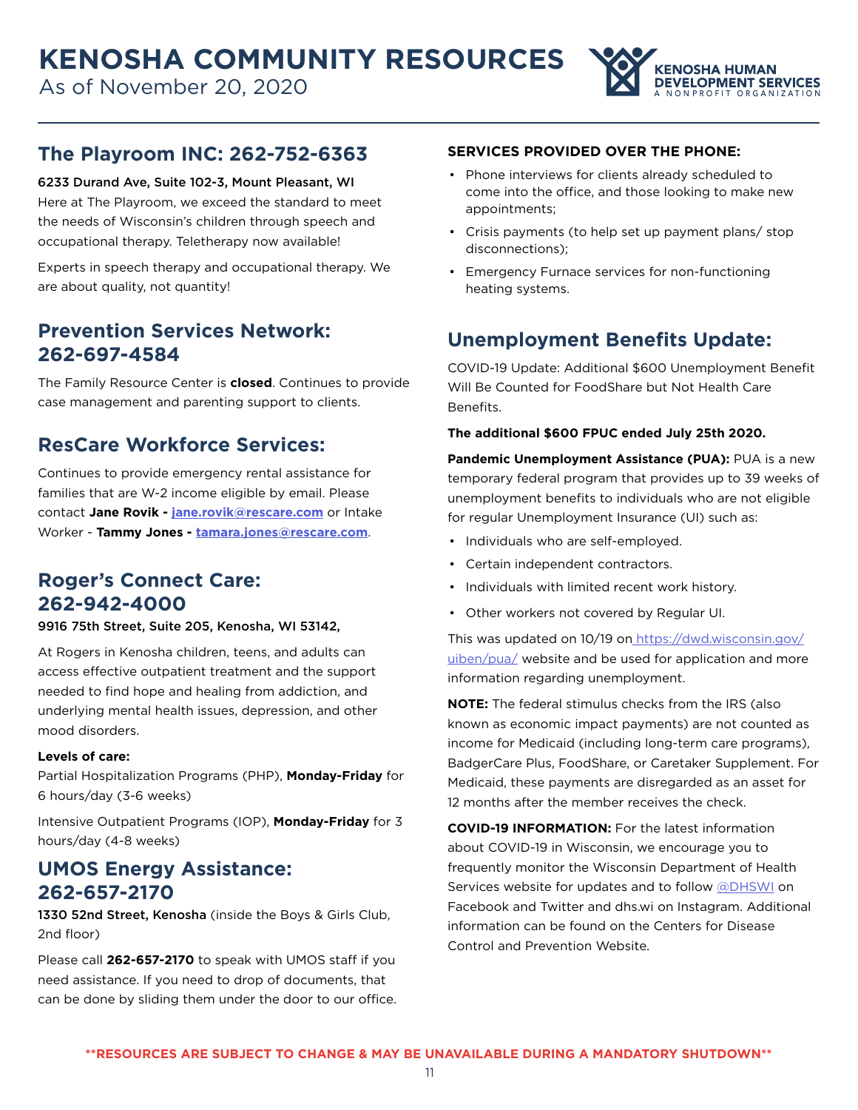

## **The Playroom INC: 262-752-6363**

6233 Durand Ave, Suite 102-3, Mount Pleasant, WI

Here at The Playroom, we exceed the standard to meet the needs of Wisconsin's children through speech and occupational therapy. Teletherapy now available!

Experts in speech therapy and occupational therapy. We are about quality, not quantity!

# **Prevention Services Network: 262-697-4584**

The Family Resource Center is **closed**. Continues to provide case management and parenting support to clients.

# **ResCare Workforce Services:**

Continues to provide emergency rental assistance for families that are W-2 income eligible by email. Please contact **Jane Rovik - [jane.rovik@rescare.com](mailto:jane.rovik%40rescare.com?subject=)** or Intake Worker - **Tammy Jones - t[amara.jones@rescare.com](mailto:Tamara.Jones%40rescare.com?subject=)**.

# **Roger's Connect Care: 262-942-4000**

#### 9916 75th Street, Suite 205, Kenosha, WI 53142,

At Rogers in Kenosha children, teens, and adults can access effective outpatient treatment and the support needed to find hope and healing from addiction, and underlying mental health issues, depression, and other mood disorders.

#### **Levels of care:**

Partial Hospitalization Programs (PHP), **Monday-Friday** for 6 hours/day (3-6 weeks)

Intensive Outpatient Programs (IOP), **Monday-Friday** for 3 hours/day (4-8 weeks)

## **UMOS Energy Assistance: 262-657-2170**

1330 52nd Street, Kenosha (inside the Boys & Girls Club, 2nd floor)

Please call **262-657-2170** to speak with UMOS staff if you need assistance. If you need to drop of documents, that can be done by sliding them under the door to our office.

#### **SERVICES PROVIDED OVER THE PHONE:**

- Phone interviews for clients already scheduled to come into the office, and those looking to make new appointments;
- Crisis payments (to help set up payment plans/ stop disconnections);
- Emergency Furnace services for non-functioning heating systems.

# **Unemployment Benefits Update:**

COVID-19 Update: Additional \$600 Unemployment Benefit Will Be Counted for FoodShare but Not Health Care Benefits.

#### **The additional \$600 FPUC ended July 25th 2020.**

**Pandemic Unemployment Assistance (PUA):** PUA is a new temporary federal program that provides up to 39 weeks of unemployment benefits to individuals who are not eligible for regular Unemployment Insurance (UI) such as:

- Individuals who are self-employed.
- Certain independent contractors.
- Individuals with limited recent work history.
- Other workers not covered by Regular UI.

This was updated on 10/19 on [https://dwd.wisconsin.gov/](https://dwd.wisconsin.gov/uiben/pua/) [uiben/pua/](https://dwd.wisconsin.gov/uiben/pua/) website and be used for application and more information regarding unemployment.

**NOTE:** The federal stimulus checks from the IRS (also known as economic impact payments) are not counted as income for Medicaid (including long-term care programs), BadgerCare Plus, FoodShare, or Caretaker Supplement. For Medicaid, these payments are disregarded as an asset for 12 months after the member receives the check.

**COVID-19 INFORMATION:** For the latest information about COVID-19 in Wisconsin, we encourage you to frequently monitor the Wisconsin Department of Health Services website for updates and to follow [@DHSWI](https://www.facebook.com/DHSWI/) on Facebook and Twitter and dhs.wi on Instagram. Additional information can be found on the Centers for Disease Control and Prevention Website.